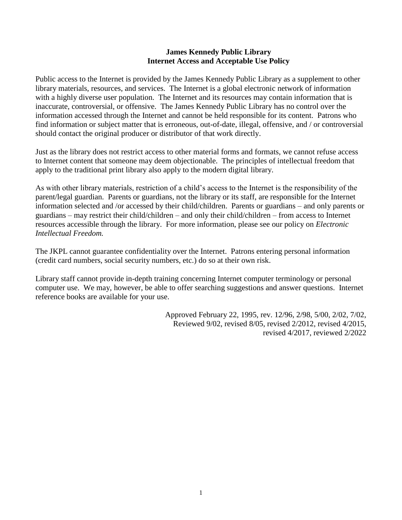## **James Kennedy Public Library Internet Access and Acceptable Use Policy**

Public access to the Internet is provided by the James Kennedy Public Library as a supplement to other library materials, resources, and services. The Internet is a global electronic network of information with a highly diverse user population. The Internet and its resources may contain information that is inaccurate, controversial, or offensive. The James Kennedy Public Library has no control over the information accessed through the Internet and cannot be held responsible for its content. Patrons who find information or subject matter that is erroneous, out-of-date, illegal, offensive, and / or controversial should contact the original producer or distributor of that work directly.

Just as the library does not restrict access to other material forms and formats, we cannot refuse access to Internet content that someone may deem objectionable. The principles of intellectual freedom that apply to the traditional print library also apply to the modern digital library.

As with other library materials, restriction of a child's access to the Internet is the responsibility of the parent/legal guardian. Parents or guardians, not the library or its staff, are responsible for the Internet information selected and /or accessed by their child/children. Parents or guardians – and only parents or guardians – may restrict their child/children – and only their child/children – from access to Internet resources accessible through the library. For more information, please see our policy on *Electronic Intellectual Freedom.* 

The JKPL cannot guarantee confidentiality over the Internet. Patrons entering personal information (credit card numbers, social security numbers, etc.) do so at their own risk.

Library staff cannot provide in-depth training concerning Internet computer terminology or personal computer use. We may, however, be able to offer searching suggestions and answer questions. Internet reference books are available for your use.

> Approved February 22, 1995, rev. 12/96, 2/98, 5/00, 2/02, 7/02, Reviewed 9/02, revised 8/05, revised 2/2012, revised 4/2015, revised 4/2017, reviewed 2/2022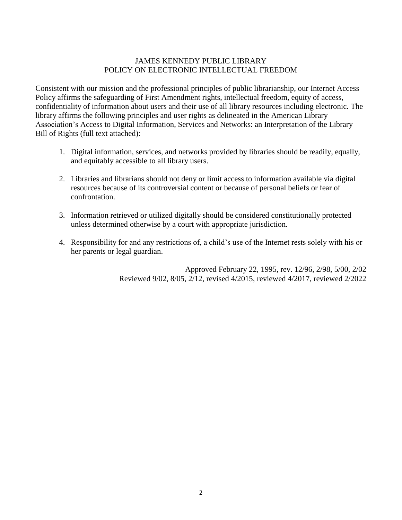## JAMES KENNEDY PUBLIC LIBRARY POLICY ON ELECTRONIC INTELLECTUAL FREEDOM

Consistent with our mission and the professional principles of public librarianship, our Internet Access Policy affirms the safeguarding of First Amendment rights, intellectual freedom, equity of access, confidentiality of information about users and their use of all library resources including electronic. The library affirms the following principles and user rights as delineated in the American Library Association's Access to Digital Information, Services and Networks: an Interpretation of the Library Bill of Rights (full text attached):

- 1. Digital information, services, and networks provided by libraries should be readily, equally, and equitably accessible to all library users.
- 2. Libraries and librarians should not deny or limit access to information available via digital resources because of its controversial content or because of personal beliefs or fear of confrontation.
- 3. Information retrieved or utilized digitally should be considered constitutionally protected unless determined otherwise by a court with appropriate jurisdiction.
- 4. Responsibility for and any restrictions of, a child's use of the Internet rests solely with his or her parents or legal guardian.

Approved February 22, 1995, rev. 12/96, 2/98, 5/00, 2/02 Reviewed 9/02, 8/05, 2/12, revised 4/2015, reviewed 4/2017, reviewed 2/2022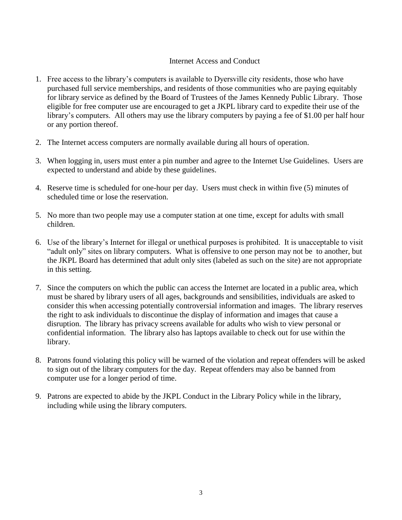## Internet Access and Conduct

- 1. Free access to the library's computers is available to Dyersville city residents, those who have purchased full service memberships, and residents of those communities who are paying equitably for library service as defined by the Board of Trustees of the James Kennedy Public Library. Those eligible for free computer use are encouraged to get a JKPL library card to expedite their use of the library's computers. All others may use the library computers by paying a fee of \$1.00 per half hour or any portion thereof.
- 2. The Internet access computers are normally available during all hours of operation.
- 3. When logging in, users must enter a pin number and agree to the Internet Use Guidelines. Users are expected to understand and abide by these guidelines.
- 4. Reserve time is scheduled for one-hour per day. Users must check in within five (5) minutes of scheduled time or lose the reservation.
- 5. No more than two people may use a computer station at one time, except for adults with small children.
- 6. Use of the library's Internet for illegal or unethical purposes is prohibited. It is unacceptable to visit "adult only" sites on library computers. What is offensive to one person may not be to another, but the JKPL Board has determined that adult only sites (labeled as such on the site) are not appropriate in this setting.
- 7. Since the computers on which the public can access the Internet are located in a public area, which must be shared by library users of all ages, backgrounds and sensibilities, individuals are asked to consider this when accessing potentially controversial information and images. The library reserves the right to ask individuals to discontinue the display of information and images that cause a disruption. The library has privacy screens available for adults who wish to view personal or confidential information. The library also has laptops available to check out for use within the library.
- 8. Patrons found violating this policy will be warned of the violation and repeat offenders will be asked to sign out of the library computers for the day. Repeat offenders may also be banned from computer use for a longer period of time.
- 9. Patrons are expected to abide by the JKPL Conduct in the Library Policy while in the library, including while using the library computers.